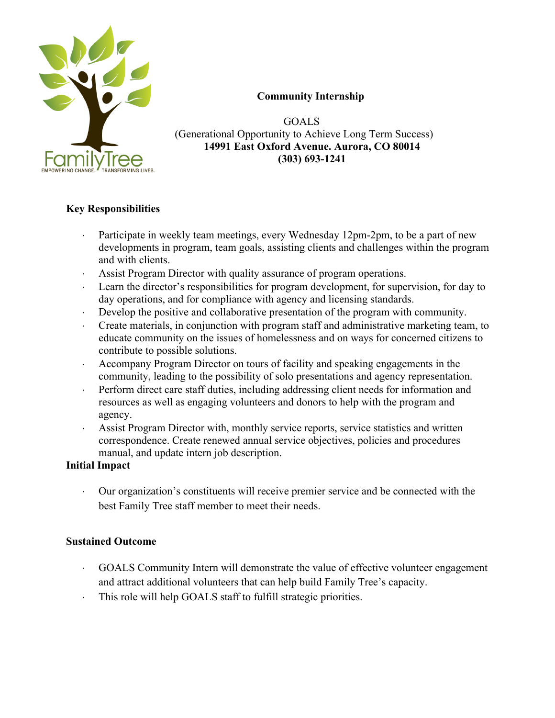

### **Community Internship**

 GOALS (Generational Opportunity to Achieve Long Term Success)  **14991 East Oxford Avenue. Aurora, CO 80014 (303) 693-1241**

# **Key Responsibilities**

- Participate in weekly team meetings, every Wednesday 12pm-2pm, to be a part of new developments in program, team goals, assisting clients and challenges within the program and with clients.
- Assist Program Director with quality assurance of program operations.
- Learn the director's responsibilities for program development, for supervision, for day to day operations, and for compliance with agency and licensing standards.
- $\cdot$  Develop the positive and collaborative presentation of the program with community.
- Create materials, in conjunction with program staff and administrative marketing team, to educate community on the issues of homelessness and on ways for concerned citizens to contribute to possible solutions.
- Accompany Program Director on tours of facility and speaking engagements in the community, leading to the possibility of solo presentations and agency representation.
- Perform direct care staff duties, including addressing client needs for information and resources as well as engaging volunteers and donors to help with the program and agency.
- Assist Program Director with, monthly service reports, service statistics and written correspondence. Create renewed annual service objectives, policies and procedures manual, and update intern job description.

#### **Initial Impact**

• Our organization's constituents will receive premier service and be connected with the best Family Tree staff member to meet their needs.

#### **Sustained Outcome**

- GOALS Community Intern will demonstrate the value of effective volunteer engagement and attract additional volunteers that can help build Family Tree's capacity.
- $\cdot$  This role will help GOALS staff to fulfill strategic priorities.